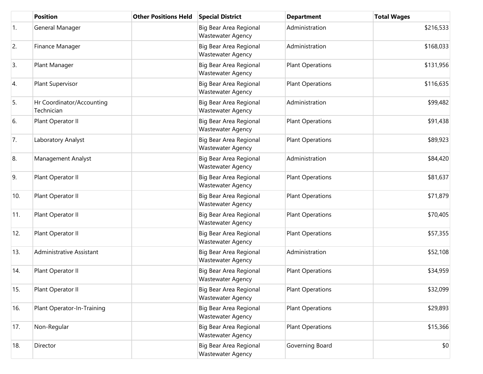|     | <b>Position</b>                         | <b>Other Positions Held</b> | <b>Special District</b>                            | <b>Department</b>       | <b>Total Wages</b> |
|-----|-----------------------------------------|-----------------------------|----------------------------------------------------|-------------------------|--------------------|
| 1.  | General Manager                         |                             | Big Bear Area Regional<br><b>Wastewater Agency</b> | Administration          | \$216,533          |
| 2.  | Finance Manager                         |                             | Big Bear Area Regional<br><b>Wastewater Agency</b> | Administration          | \$168,033          |
| 3.  | Plant Manager                           |                             | Big Bear Area Regional<br><b>Wastewater Agency</b> | <b>Plant Operations</b> | \$131,956          |
| 4.  | Plant Supervisor                        |                             | Big Bear Area Regional<br><b>Wastewater Agency</b> | <b>Plant Operations</b> | \$116,635          |
| 5.  | Hr Coordinator/Accounting<br>Technician |                             | Big Bear Area Regional<br><b>Wastewater Agency</b> | Administration          | \$99,482           |
| 6.  | Plant Operator II                       |                             | Big Bear Area Regional<br><b>Wastewater Agency</b> | <b>Plant Operations</b> | \$91,438           |
| 7.  | Laboratory Analyst                      |                             | Big Bear Area Regional<br><b>Wastewater Agency</b> | <b>Plant Operations</b> | \$89,923           |
| 8.  | Management Analyst                      |                             | Big Bear Area Regional<br><b>Wastewater Agency</b> | Administration          | \$84,420           |
| 9.  | Plant Operator II                       |                             | Big Bear Area Regional<br><b>Wastewater Agency</b> | <b>Plant Operations</b> | \$81,637           |
| 10. | Plant Operator II                       |                             | Big Bear Area Regional<br><b>Wastewater Agency</b> | <b>Plant Operations</b> | \$71,879           |
| 11. | Plant Operator II                       |                             | Big Bear Area Regional<br><b>Wastewater Agency</b> | <b>Plant Operations</b> | \$70,405           |
| 12. | Plant Operator II                       |                             | Big Bear Area Regional<br><b>Wastewater Agency</b> | <b>Plant Operations</b> | \$57,355           |
| 13. | Administrative Assistant                |                             | Big Bear Area Regional<br><b>Wastewater Agency</b> | Administration          | \$52,108           |
| 14. | Plant Operator II                       |                             | Big Bear Area Regional<br><b>Wastewater Agency</b> | <b>Plant Operations</b> | \$34,959           |
| 15. | Plant Operator II                       |                             | Big Bear Area Regional<br><b>Wastewater Agency</b> | <b>Plant Operations</b> | \$32,099           |
| 16. | Plant Operator-In-Training              |                             | Big Bear Area Regional<br><b>Wastewater Agency</b> | <b>Plant Operations</b> | \$29,893           |
| 17. | Non-Regular                             |                             | Big Bear Area Regional<br><b>Wastewater Agency</b> | <b>Plant Operations</b> | \$15,366           |
| 18. | Director                                |                             | Big Bear Area Regional<br>Wastewater Agency        | Governing Board         | \$0                |